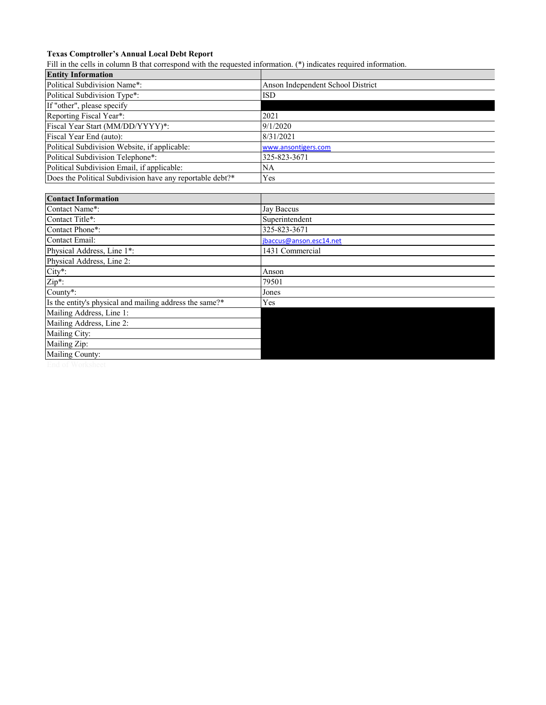## **Texas Comptroller's Annual Local Debt Report**

Fill in the cells in column B that correspond with the requested information. (\*) indicates required information.

| <b>Entity Information</b>                                 |                                   |  |  |  |  |  |
|-----------------------------------------------------------|-----------------------------------|--|--|--|--|--|
| Political Subdivision Name*:                              | Anson Independent School District |  |  |  |  |  |
| Political Subdivision Type*:                              | <b>ISD</b>                        |  |  |  |  |  |
| If "other", please specify                                |                                   |  |  |  |  |  |
| Reporting Fiscal Year*:                                   | 2021                              |  |  |  |  |  |
| Fiscal Year Start (MM/DD/YYYY)*:                          | 9/1/2020                          |  |  |  |  |  |
| Fiscal Year End (auto):                                   | 8/31/2021                         |  |  |  |  |  |
| Political Subdivision Website, if applicable:             | www.ansontigers.com               |  |  |  |  |  |
| Political Subdivision Telephone*:                         | 325-823-3671                      |  |  |  |  |  |
| Political Subdivision Email, if applicable:               | NA                                |  |  |  |  |  |
| Does the Political Subdivision have any reportable debt?* | Yes                               |  |  |  |  |  |
|                                                           |                                   |  |  |  |  |  |
| <b>Contact Information</b>                                |                                   |  |  |  |  |  |
| Contact Name*:                                            | Jay Baccus                        |  |  |  |  |  |
| Contact Title*:                                           | Superintendent                    |  |  |  |  |  |
| Contact Phone*:                                           | 325-823-3671                      |  |  |  |  |  |
| <b>Contact Email:</b>                                     | jbaccus@anson.esc14.net           |  |  |  |  |  |
| Physical Address, Line 1*:                                | 1431 Commercial                   |  |  |  |  |  |
| Physical Address, Line 2:                                 |                                   |  |  |  |  |  |
| City*:                                                    | Anson                             |  |  |  |  |  |
| Zip*:                                                     | 79501                             |  |  |  |  |  |
| County*:                                                  | Jones                             |  |  |  |  |  |
| Is the entity's physical and mailing address the same?*   | Yes                               |  |  |  |  |  |
| Mailing Address, Line 1:                                  |                                   |  |  |  |  |  |
| Mailing Address, Line 2:                                  |                                   |  |  |  |  |  |
| Mailing City:                                             |                                   |  |  |  |  |  |
| Mailing Zip:                                              |                                   |  |  |  |  |  |
| Mailing County:                                           |                                   |  |  |  |  |  |
|                                                           |                                   |  |  |  |  |  |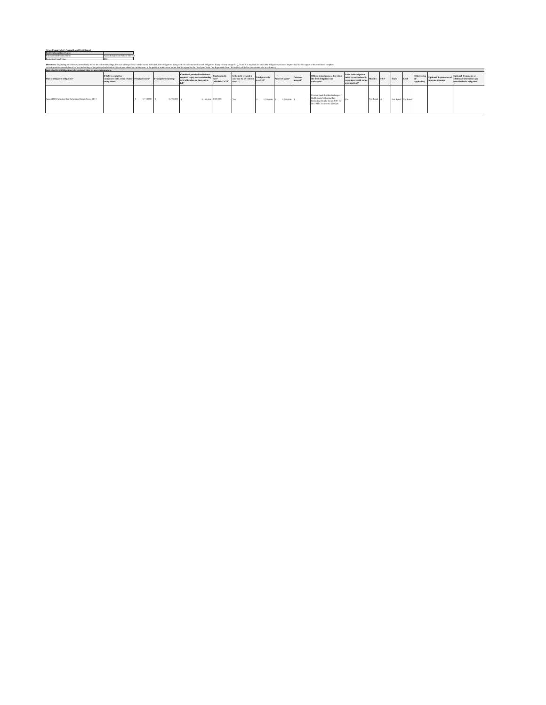| Texas Comptroller's Annual Local Debt Report<br>Information (Auto) |              |
|--------------------------------------------------------------------|--------------|
| . .                                                                | Indonesient' |
|                                                                    |              |

| <b><i>BOODING FIREST TEST.</i></b>                                                                                                                                                                                                                                                                                                                                                                                                                                                                                                        |                                                                                          |             |                        |                                                                                                             |                                        |                                                                 |             |                 |                     |                                                                                                                                   |                                                                                                             |           |                     |       |             |                                                           |                                                                                   |
|-------------------------------------------------------------------------------------------------------------------------------------------------------------------------------------------------------------------------------------------------------------------------------------------------------------------------------------------------------------------------------------------------------------------------------------------------------------------------------------------------------------------------------------------|------------------------------------------------------------------------------------------|-------------|------------------------|-------------------------------------------------------------------------------------------------------------|----------------------------------------|-----------------------------------------------------------------|-------------|-----------------|---------------------|-----------------------------------------------------------------------------------------------------------------------------------|-------------------------------------------------------------------------------------------------------------|-----------|---------------------|-------|-------------|-----------------------------------------------------------|-----------------------------------------------------------------------------------|
| Directions: Beniming with the row immediately below the column heading, list each of the political subdivision's individual debt oblinations along with the information for each oblination. Every column excert B. O. R and S<br>All information entered should reflect the last day of the nolitical subdivision's fiscal year identified on this form. If the reditical subdivision has no debt to report for the fiscal vear. enter "No Reportable Debt" in<br>Individual Debt Obligations (click column titles for more information) |                                                                                          |             |                        |                                                                                                             |                                        |                                                                 |             |                 |                     |                                                                                                                                   |                                                                                                             |           |                     |       |             |                                                           |                                                                                   |
| Outstanding debt obligation*                                                                                                                                                                                                                                                                                                                                                                                                                                                                                                              | If debt is conduit or<br>component debt, enter related Principal issued*<br>entity name: |             | Princinal outstanding* | Combined principal and interest<br>required to pay each outstanding date*<br>debt oblivation on time and in | Final materity<br>(MM/DD/YYYY) taxes?" | Is the debt secured in Total proceeds<br>any way by advalorem." | received*   | Proceeds spent* | Proceeds<br>unspent | Official stated purpose for which<br>the debt obligation was<br>authorized <sup>*</sup>                                           | Is the debt oblivation<br>rated by any nationally Moody's S&P<br>recognized credit rating<br>organization?* |           | Fitch               | Kroll | anedicable) | Other rating Optional: Explanation of<br>repayment source | Ontional: Comments or<br>additional information per<br>individual debt obligation |
| Anson ISD Unlimited Tax Refunding Bonds, Series 2015                                                                                                                                                                                                                                                                                                                                                                                                                                                                                      |                                                                                          | 5.710,000 S | 4,370,000 \$           | 5.301.800 2/15/2031                                                                                         |                                        |                                                                 | 5.710,000 S | 5.710,000       |                     | Provide funds for the discharge of<br>the Districts Unlimited Tax<br>Refunding Bonds, Series 2007 for<br>SEC/MS Classrooms/MS Gym | <b>IV</b> <sub>C</sub>                                                                                      | Not Rated | Net Rated Net Rated |       |             |                                                           |                                                                                   |